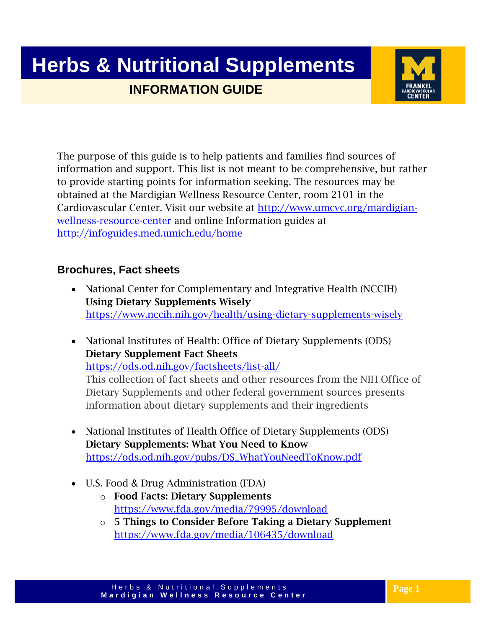## **Herbs & Nutritional Supplements INFORMATION GUIDE**



The purpose of this guide is to help patients and families find sources of information and support. This list is not meant to be comprehensive, but rather to provide starting points for information seeking. The resources may be obtained at the Mardigian Wellness Resource Center, room 2101 in the Cardiovascular Center. Visit our website at [http://www.umcvc.org/mardigian](http://www.umcvc.org/mardigian-wellness-resource-center)[wellness-resource-center](http://www.umcvc.org/mardigian-wellness-resource-center) and online Information guides at <http://infoguides.med.umich.edu/home>

#### **Brochures, Fact sheets**

- National Center for Complementary and Integrative Health (NCCIH) Using Dietary Supplements Wisely <https://www.nccih.nih.gov/health/using-dietary-supplements-wisely>
- National Institutes of Health: Office of Dietary Supplements (ODS) Dietary Supplement Fact Sheets <https://ods.od.nih.gov/factsheets/list-all/> This collection of fact sheets and other resources from the NIH Office of Dietary Supplements and other federal government sources presents information about dietary supplements and their ingredients
- National Institutes of Health Office of Dietary Supplements (ODS) Dietary Supplements: What You Need to Know [https://ods.od.nih.gov/pubs/DS\\_WhatYouNeedToKnow.pdf](https://ods.od.nih.gov/pubs/DS_WhatYouNeedToKnow.pdf)
- U.S. Food & Drug Administration (FDA)
	- o Food Facts: Dietary Supplements <https://www.fda.gov/media/79995/download>
	- o 5 Things to Consider Before Taking a Dietary Supplement <https://www.fda.gov/media/106435/download>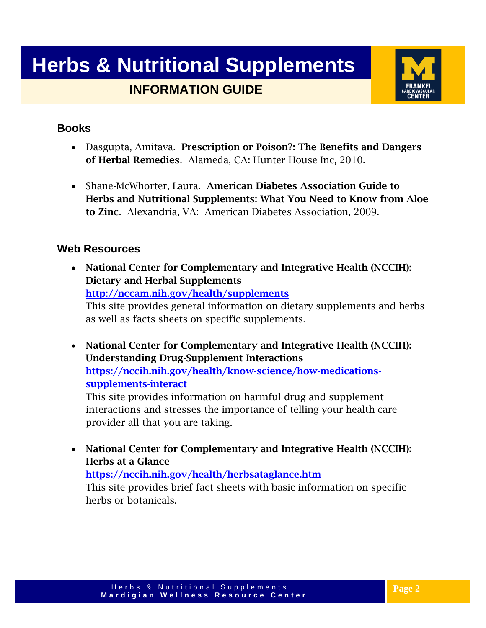## **Herbs & Nutritional Supplements INFORMATION GUIDE**



#### **Books**

- Dasgupta, Amitava. Prescription or Poison?: The Benefits and Dangers of Herbal Remedies. Alameda, CA: Hunter House Inc, 2010.
- Shane-McWhorter, Laura. American Diabetes Association Guide to Herbs and Nutritional Supplements: What You Need to Know from Aloe to Zinc. Alexandria, VA: American Diabetes Association, 2009.

#### **Web Resources**

- National Center for Complementary and Integrative Health (NCCIH): Dietary and Herbal Supplements <http://nccam.nih.gov/health/supplements> This site provides general information on dietary supplements and herbs as well as facts sheets on specific supplements.
- National Center for Complementary and Integrative Health (NCCIH): Understanding Drug-Supplement Interactions [https://nccih.nih.gov/health/know-science/how-medications](https://nccih.nih.gov/health/know-science/how-medications-supplements-interact)[supplements-interact](https://nccih.nih.gov/health/know-science/how-medications-supplements-interact)

This site provides information on harmful drug and supplement interactions and stresses the importance of telling your health care provider all that you are taking.

• National Center for Complementary and Integrative Health (NCCIH): Herbs at a Glance

<https://nccih.nih.gov/health/herbsataglance.htm> This site provides brief fact sheets with basic information on specific

herbs or botanicals.